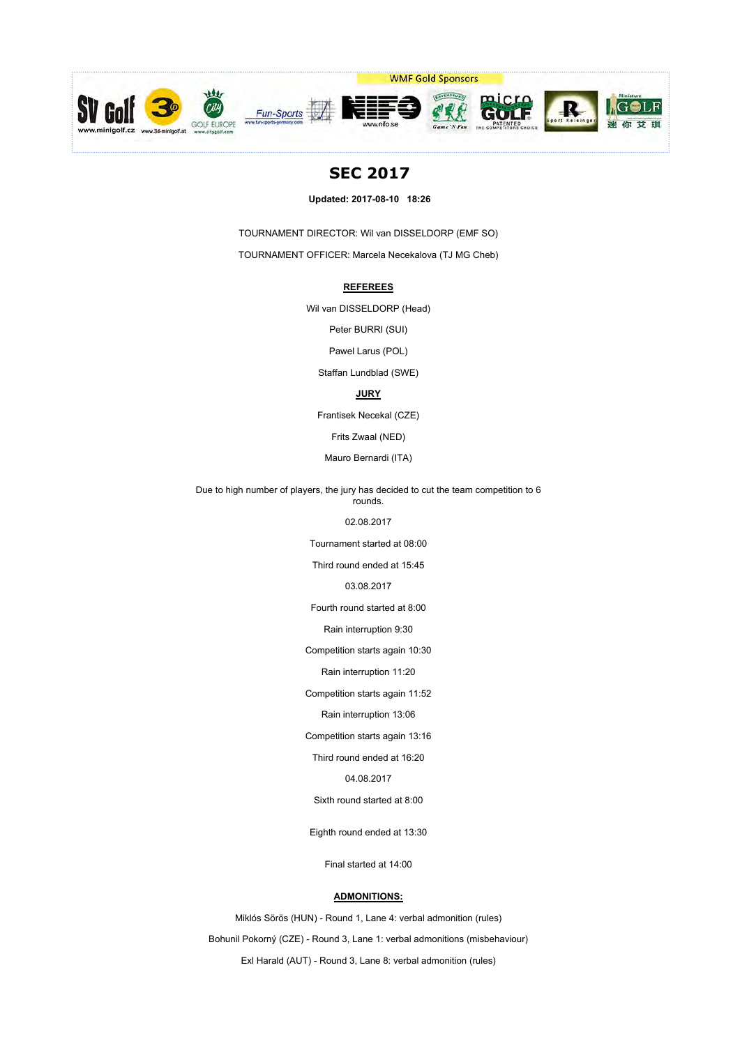

**WMF Gold Sponsors** 

**TEAVENSSUA** 

micro

**COLF** 

E



**Fun-Sports** 

Updated: 2017-08-10 18:26

TOURNAMENT DIRECTOR: Wil van DISSELDORP (EMF SO)

TOURNAMENT OFFICER: Marcela Necekalova (TJ MG Cheb)

## **REFEREES**

Wil van DISSELDORP (Head)

Peter BURRI (SUI)

Pawel Larus (POL)

Staffan Lundblad (SWE)

## **JURY**

Frantisek Necekal (CZE)

Frits Zwaal (NED)

Mauro Bernardi (ITA)

Due to high number of players, the jury has decided to cut the team competition to 6 rounds.

#### 02.08.2017

Tournament started at 08:00

Third round ended at 15:45

03.08.2017

Fourth round started at 8:00

Rain interruption 9:30

Competition starts again 10:30

Rain interruption 11:20

Competition starts again 11:52

Rain interruption 13:06

Competition starts again 13:16

Third round ended at 16:20

04.08.2017

Sixth round started at 8:00

Eighth round ended at 13:30

Final started at 14:00

#### ADMONITIONS:

Miklós Sörös (HUN) - Round 1, Lane 4: verbal admonition (rules) Bohunil Pokorný (CZE) - Round 3, Lane 1: verbal admonitions (misbehaviour) Exl Harald (AUT) - Round 3, Lane 8: verbal admonition (rules)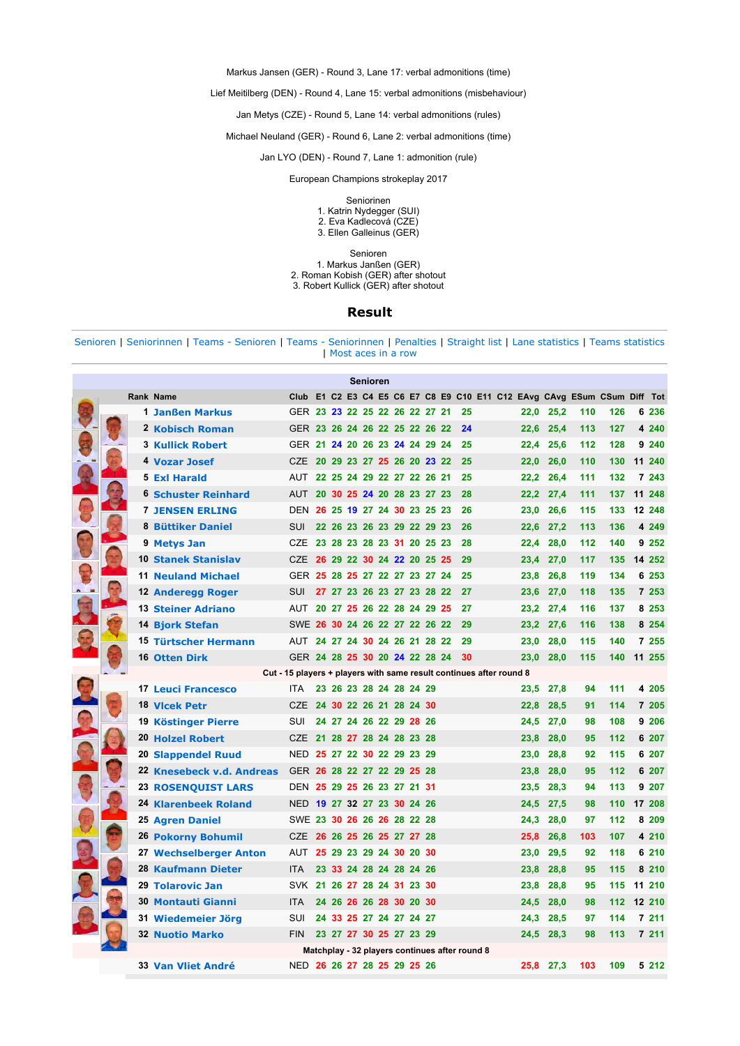Markus Jansen (GER) - Round 3, Lane 17: verbal admonitions (time)

Lief Meitilberg (DEN) - Round 4, Lane 15: verbal admonitions (misbehaviour)

Jan Metys (CZE) - Round 5, Lane 14: verbal admonitions (rules)

Michael Neuland (GER) - Round 6, Lane 2: verbal admonitions (time)

Jan LYO (DEN) - Round 7, Lane 1: admonition (rule)

European Champions strokeplay 2017

#### Seniorinen

1. Katrin Nydegger (SUI) 2. Eva Kadlecová (CZE) 3. Ellen Galleinus (GER)

Senioren 1. Markus Janßen (GER) 2. Roman Kobish (GER) after shotout 3. Robert Kullick (GER) after shotout

## Result

Senioren | Seniorinnen | Teams - Senioren | Teams - Seniorinnen | Penalties | Straight list | Lane statistics | Teams statistics | Most aces in a row

|  |                             |                                                                     |  | <b>Senioren</b>         |  |  |                                                |  |      |           |     |                                                                          |            |
|--|-----------------------------|---------------------------------------------------------------------|--|-------------------------|--|--|------------------------------------------------|--|------|-----------|-----|--------------------------------------------------------------------------|------------|
|  | <b>Rank Name</b>            |                                                                     |  |                         |  |  |                                                |  |      |           |     | Club E1 C2 E3 C4 E5 C6 E7 C8 E9 C10 E11 C12 EAvg CAvg ESum CSum Diff Tot |            |
|  | <b>1 Janßen Markus</b>      | GER 23 23 22 25 22 26 22 27 21                                      |  |                         |  |  | 25                                             |  |      | 22,0 25,2 | 110 | 126                                                                      | 6 236      |
|  | 2 Kobisch Roman             | GER 23 26 24 26 22 25 22 26 22                                      |  |                         |  |  | 24                                             |  |      | 22,6 25,4 | 113 | 127                                                                      | 4 240      |
|  | <b>3 Kullick Robert</b>     | GER 21 24 20 26 23 24 24 29 24                                      |  |                         |  |  | 25                                             |  |      | 22,4 25,6 | 112 | 128                                                                      | 9 240      |
|  | 4 Vozar Josef               | CZE 20 29 23 27 25 26 20 23 22                                      |  |                         |  |  | 25                                             |  | 22,0 | 26,0      | 110 | 130 <sub>1</sub>                                                         | 11 240     |
|  | <b>5 Exl Harald</b>         | AUT 22 25 24 29 22 27 22 26 21                                      |  |                         |  |  | 25                                             |  |      | 22,2 26,4 | 111 | 132                                                                      | 7 243      |
|  | <b>6 Schuster Reinhard</b>  | AUT 20 30 25 24 20 28 23 27 23                                      |  |                         |  |  | 28                                             |  |      | 22,2 27,4 | 111 | 137                                                                      | 11 248     |
|  | <b>7 JENSEN ERLING</b>      | DEN 26 25 19 27 24 30 23 25 23                                      |  |                         |  |  | 26                                             |  | 23,0 | 26,6      | 115 |                                                                          | 133 12 248 |
|  | 8 Büttiker Daniel           | SUI 22 26 23 26 23 29 22 29 23                                      |  |                         |  |  | 26                                             |  |      | 22,6 27,2 | 113 | 136                                                                      | 4 2 4 9    |
|  | 9 Metys Jan                 | CZE 23 28 23 28 23 31 20 25 23                                      |  |                         |  |  | 28                                             |  | 22,4 | 28,0      | 112 | 140                                                                      | 9252       |
|  | 10 Stanek Stanislav         | CZE 26 29 22 30 24 22 20 25 25                                      |  |                         |  |  | 29                                             |  |      | 23,4 27,0 | 117 |                                                                          | 135 14 252 |
|  | <b>11 Neuland Michael</b>   | GER 25 28 25 27 22 27 23 27 24                                      |  |                         |  |  | 25                                             |  | 23,8 | 26,8      | 119 | 134                                                                      | 6 253      |
|  | 12 Anderegg Roger           | SUI 27 27 23 26 23 27 23 28 22                                      |  |                         |  |  | 27                                             |  |      | 23,6 27,0 | 118 | 135                                                                      | 7 253      |
|  | <b>13 Steiner Adriano</b>   | AUT 20 27 25 26 22 28 24 29 25                                      |  |                         |  |  | 27                                             |  |      | 23,2 27,4 | 116 | 137                                                                      | 8 2 5 3    |
|  | 14 Bjork Stefan             | SWE 26 30 24 26 22 27 22 26 22                                      |  |                         |  |  | 29                                             |  |      | 23,2 27,6 | 116 | 138                                                                      | 8 2 5 4    |
|  | 15 Türtscher Hermann        | AUT 24 27 24 30 24 26 21 28 22                                      |  |                         |  |  | 29                                             |  | 23.0 | 28.0      | 115 | 140                                                                      | 7 255      |
|  | 16 Otten Dirk               | GER 24 28 25 30 20 24 22 28 24                                      |  |                         |  |  | 30                                             |  | 23,0 | 28,0      | 115 | 140                                                                      | 11 255     |
|  |                             | Cut - 15 players + players with same result continues after round 8 |  |                         |  |  |                                                |  |      |           |     |                                                                          |            |
|  | <b>17 Leuci Francesco</b>   | ITA 23 26 23 28 24 28 24 29                                         |  |                         |  |  |                                                |  |      | 23,5 27,8 | 94  | 111                                                                      | 4 205      |
|  | 18 Vicek Petr               | CZE 24 30 22 26 21 28 24 30                                         |  |                         |  |  |                                                |  | 22,8 | 28,5      | 91  | 114                                                                      | 7 205      |
|  | 19 Köstinger Pierre         | SUI 24 27 24 26 22 29 28 26                                         |  |                         |  |  |                                                |  | 24,5 | 27,0      | 98  | 108                                                                      | 9 206      |
|  | <b>20 Holzel Robert</b>     | CZE 21 28 27 28 24 28 23 28                                         |  |                         |  |  |                                                |  | 23,8 | 28,0      | 95  | 112                                                                      | 6 207      |
|  | <b>20 Slappendel Ruud</b>   | NED 25 27 22 30 22 29 23 29                                         |  |                         |  |  |                                                |  | 23,0 | 28.8      | 92  | 115                                                                      | 6 207      |
|  | 22 Knesebeck v.d. Andreas   | GER 26 28 22 27 22 29 25 28                                         |  |                         |  |  |                                                |  | 23,8 | 28,0      | 95  | $112$                                                                    | 6 207      |
|  | <b>23 ROSENQUIST LARS</b>   | DEN 25 29 25 26 23 27 21 31                                         |  |                         |  |  |                                                |  | 23,5 | 28,3      | 94  | 113                                                                      | 9 207      |
|  | <b>24 Klarenbeek Roland</b> | NED 19 27 32 27 23 30 24 26                                         |  |                         |  |  |                                                |  |      | 24,5 27,5 | 98  |                                                                          | 110 17 208 |
|  | <b>25 Agren Daniel</b>      | SWE 23 30 26 26 26 28 22 28                                         |  |                         |  |  |                                                |  | 24,3 | 28,0      | 97  | 112                                                                      | 8 209      |
|  | <b>26 Pokorny Bohumil</b>   | CZE 26 26 25 26 25 27 27 28                                         |  |                         |  |  |                                                |  | 25,8 | 26,8      | 103 | 107                                                                      | 4 210      |
|  | 27 Wechselberger Anton      | AUT 25 29 23 29 24 30 20 30                                         |  |                         |  |  |                                                |  | 23,0 | 29,5      | 92  | 118                                                                      | 6 210      |
|  | <b>28 Kaufmann Dieter</b>   | <b>ITA</b>                                                          |  | 23 33 24 28 24 28 24 26 |  |  |                                                |  |      | 23,8 28,8 | 95  | 115                                                                      | 8 2 1 0    |
|  | <b>29 Tolarovic Jan</b>     | SVK 21 26 27 28 24 31 23 30                                         |  |                         |  |  |                                                |  |      | 23,8 28,8 | 95  |                                                                          | 115 11 210 |
|  | <b>30 Montauti Gianni</b>   | <b>ITA</b>                                                          |  | 24 26 26 26 28 30 20 30 |  |  |                                                |  |      | 24,5 28,0 | 98  |                                                                          | 112 12 210 |
|  | 31 Wiedemeier Jörg          | SUI                                                                 |  | 24 33 25 27 24 27 24 27 |  |  |                                                |  | 24,3 | 28,5      | 97  | 114                                                                      | 7 211      |
|  | <b>32 Nuotio Marko</b>      | <b>FIN</b>                                                          |  | 23 27 27 30 25 27 23 29 |  |  |                                                |  |      | 24,5 28,3 | 98  | 113                                                                      | 7 211      |
|  |                             |                                                                     |  |                         |  |  | Matchplay - 32 players continues after round 8 |  |      |           |     |                                                                          |            |
|  | <b>33 Van Vliet André</b>   | NED 26 26 27 28 25 29 25 26                                         |  |                         |  |  |                                                |  |      | 25,8 27,3 | 103 | 109                                                                      | 5 212      |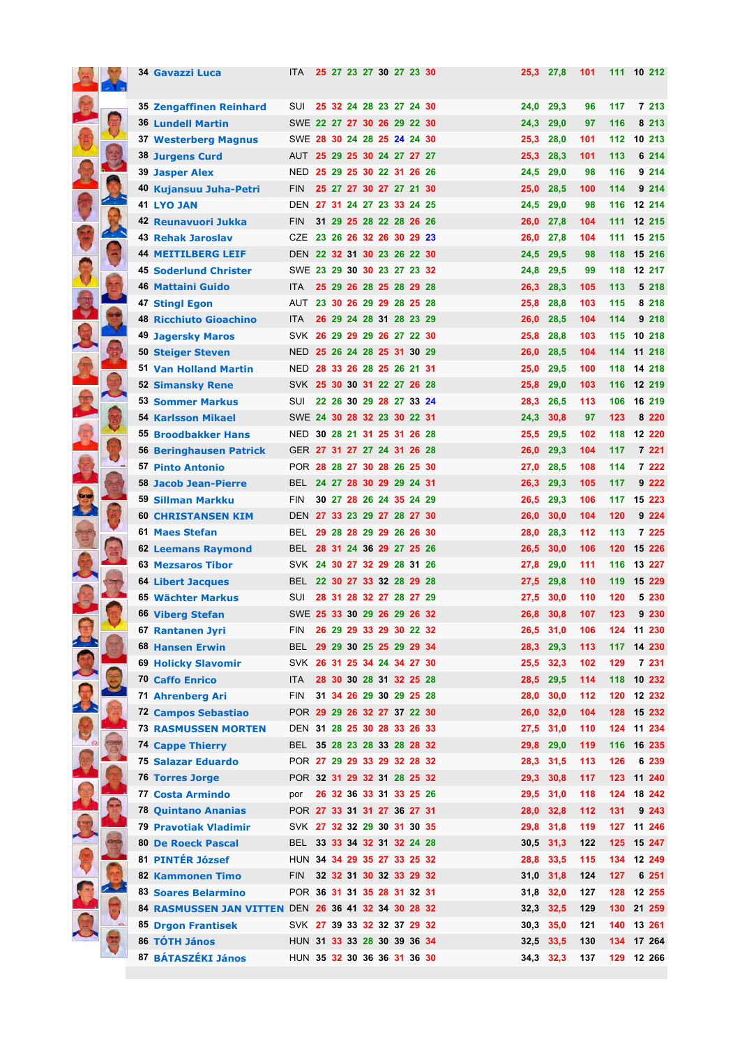|  | 34 Gavazzi Luca                                                                  | <b>ITA</b>                  |  | 25 27 23 27 30 27 23 30 |  |  |      | 25,3 27,8                  | 101        |     | 111 10 212               |
|--|----------------------------------------------------------------------------------|-----------------------------|--|-------------------------|--|--|------|----------------------------|------------|-----|--------------------------|
|  | <b>35 Zengaffinen Reinhard</b>                                                   | SUI 25 32 24 28 23 27 24 30 |  |                         |  |  |      | 24,0 29,3                  | 96         | 117 | 7 213                    |
|  | <b>36 Lundell Martin</b>                                                         | SWE 22 27 27 30 26 29 22 30 |  |                         |  |  |      | 24,3 29,0                  | 97         | 116 | 8 2 1 3                  |
|  | 37 Westerberg Magnus                                                             | SWE 28 30 24 28 25 24 24 30 |  |                         |  |  | 25,3 | 28,0                       | 101        |     | 112 10 213               |
|  | <b>38 Jurgens Curd</b>                                                           | AUT 25 29 25 30 24 27 27 27 |  |                         |  |  | 25,3 | 28,3                       | 101        | 113 | 6 214                    |
|  | <b>39 Jasper Alex</b>                                                            | NED 25 29 25 30 22 31 26 26 |  |                         |  |  | 24,5 | 29,0                       | 98         | 116 | 9 214                    |
|  | 40 Kujansuu Juha-Petri                                                           | <b>FIN</b>                  |  | 25 27 27 30 27 27 21 30 |  |  | 25,0 | 28,5                       | 100        | 114 | 9214                     |
|  | <b>41 LYO JAN</b>                                                                | DEN 27 31 24 27 23 33 24 25 |  |                         |  |  |      | 24,5 29,0                  | 98         |     | 116 12 214               |
|  | 42 Reunavuori Jukka                                                              | <b>FIN</b>                  |  | 31 29 25 28 22 28 26 26 |  |  |      | 26,0 27,8                  | 104        | 111 | 12 215                   |
|  | <b>43 Rehak Jaroslav</b>                                                         | CZE 23 26 26 32 26 30 29 23 |  |                         |  |  | 26,0 | 27,8                       | 104        |     | 111 15 215               |
|  | <b>44 MEITILBERG LEIF</b>                                                        | DEN 22 32 31 30 23 26 22 30 |  |                         |  |  | 24,5 | 29,5                       | 98         |     | 118 15 216               |
|  | <b>45 Soderlund Christer</b>                                                     | SWE 23 29 30 30 23 27 23 32 |  |                         |  |  | 24,8 | 29,5                       | 99         |     | 118 12 217               |
|  | 46 Mattaini Guido                                                                | ITA.                        |  | 25 29 26 28 25 28 29 28 |  |  | 26,3 | 28,3                       | 105        | 113 | 5 218                    |
|  | <b>47 Stingl Egon</b>                                                            | AUT 23 30 26 29 29 28 25 28 |  |                         |  |  | 25,8 | 28,8                       | 103        | 115 | 8 2 1 8                  |
|  | <b>48 Ricchiuto Gioachino</b>                                                    | ITA                         |  | 26 29 24 28 31 28 23 29 |  |  | 26,0 | 28,5                       | 104        | 114 | 9218                     |
|  | <b>49 Jagersky Maros</b>                                                         | SVK 26 29 29 29 26 27 22 30 |  |                         |  |  | 25,8 | 28,8                       | 103        |     | 115 10 218               |
|  | <b>50 Steiger Steven</b>                                                         | NED 25 26 24 28 25 31 30 29 |  |                         |  |  | 26,0 | 28,5                       | 104        |     | 114 11 218               |
|  | 51 Van Holland Martin                                                            | NED 28 33 26 28 25 26 21 31 |  |                         |  |  | 25,0 | 29,5                       | 100        |     | 118 14 218               |
|  | 52 Simansky Rene                                                                 | SVK 25 30 30 31 22 27 26 28 |  |                         |  |  | 25,8 | 29,0                       | 103        |     | 116 12 219               |
|  | <b>53 Sommer Markus</b>                                                          | SUI                         |  | 22 26 30 29 28 27 33 24 |  |  | 28,3 | 26,5                       | 113        | 106 | 16 219                   |
|  | <b>54 Karlsson Mikael</b>                                                        | SWE 24 30 28 32 23 30 22 31 |  |                         |  |  | 24,3 | 30,8                       | 97         | 123 | 8 2 2 0                  |
|  | <b>55 Broodbakker Hans</b>                                                       | NED 30 28 21 31 25 31 26 28 |  |                         |  |  | 25,5 | 29,5                       | 102        |     | 118 12 220               |
|  | 56 Beringhausen Patrick                                                          | GER 27 31 27 27 24 31 26 28 |  |                         |  |  | 26,0 | 29,3                       | 104        | 117 | 7 2 2 1                  |
|  | <b>57 Pinto Antonio</b>                                                          | POR 28 28 27 30 28 26 25 30 |  |                         |  |  | 27,0 | 28,5                       | 108        | 114 | 7 222                    |
|  | 58 Jacob Jean-Pierre                                                             | BEL 24 27 28 30 29 29 24 31 |  |                         |  |  | 26,3 | 29,3                       | 105        | 117 | 9 2 2 2                  |
|  | 59 Sillman Markku                                                                | <b>FIN</b>                  |  | 30 27 28 26 24 35 24 29 |  |  | 26,5 | 29,3                       | 106        |     | 117 15 223               |
|  | <b>60 CHRISTANSEN KIM</b>                                                        | DEN 27 33 23 29 27 28 27 30 |  |                         |  |  | 26,0 | 30,0                       | 104        | 120 | 9 2 2 4                  |
|  | 61 Maes Stefan                                                                   | BEL 29 28 28 29 29 26 26 30 |  |                         |  |  | 28,0 | 28,3                       | 112        | 113 | 7 2 2 5                  |
|  | <b>62 Leemans Raymond</b>                                                        | BEL 28 31 24 36 29 27 25 26 |  |                         |  |  | 26,5 | 30,0                       | 106        | 120 | 15 226                   |
|  | <b>63 Mezsaros Tibor</b>                                                         | SVK 24 30 27 32 29 28 31 26 |  |                         |  |  | 27,8 | 29,0                       | 111        |     | 116 13 227               |
|  | <b>64 Libert Jacques</b>                                                         | BEL 22 30 27 33 32 28 29 28 |  |                         |  |  | 27,5 | 29,8                       | 110        | 119 | 15 229                   |
|  | 65 Wächter Markus                                                                | SUI                         |  | 28 31 28 32 27 28 27 29 |  |  | 27,5 | 30,0                       | 110        | 120 | 5 230                    |
|  | 66 Viberg Stefan                                                                 | SWE 25 33 30 29 26 29 26 32 |  |                         |  |  | 26,8 | 30,8                       | 107        | 123 | 9 230                    |
|  | <b>67 Rantanen Jyri</b>                                                          | <b>FIN</b>                  |  | 26 29 29 33 29 30 22 32 |  |  |      | 26,5 31,0                  | 106        |     | 124 11 230               |
|  | <b>68 Hansen Erwin</b>                                                           | BEL 29 29 30 25 25 29 29 34 |  |                         |  |  |      | 28,3 29,3                  | 113        |     | 117 14 230               |
|  | <b>69 Holicky Slavomir</b>                                                       | SVK 26 31 25 34 24 34 27 30 |  |                         |  |  |      | 25,5 32,3                  | 102        | 129 | 7 231                    |
|  | <b>70 Caffo Enrico</b>                                                           | ITA                         |  | 28 30 30 28 31 32 25 28 |  |  | 28,5 | 29,5                       | 114        |     | 118 10 232               |
|  | 71 Ahrenberg Ari                                                                 | FIN                         |  | 31 34 26 29 30 29 25 28 |  |  | 28,0 | 30,0                       | 112        |     | 120 12 232               |
|  | <b>72 Campos Sebastiao</b>                                                       | POR 29 29 26 32 27 37 22 30 |  |                         |  |  |      | 26,0 32,0                  | 104        |     | 128 15 232               |
|  | <b>73 RASMUSSEN MORTEN</b>                                                       | DEN 31 28 25 30 28 33 26 33 |  |                         |  |  |      | 27,5 31,0                  | 110        |     | 124 11 234               |
|  | <b>74 Cappe Thierry</b>                                                          | BEL 35 28 23 28 33 28 28 32 |  |                         |  |  |      | 29,8 29,0                  | 119        |     | 116 16 235               |
|  | <b>75 Salazar Eduardo</b>                                                        | POR 27 29 29 33 29 32 28 32 |  |                         |  |  |      | 28,3 31,5                  | 113        | 126 | 6 239                    |
|  | <b>76 Torres Jorge</b>                                                           | POR 32 31 29 32 31 28 25 32 |  |                         |  |  |      | 29,3 30,8                  | 117        |     | 123 11 240               |
|  | 77 Costa Armindo                                                                 | por                         |  | 26 32 36 33 31 33 25 26 |  |  |      | 29,5 31,0                  | 118        |     | 124 18 242               |
|  | <b>78 Quintano Ananias</b>                                                       | POR 27 33 31 31 27 36 27 31 |  |                         |  |  |      | 28,0 32,8                  | 112        | 131 | 9243                     |
|  | 79 Pravotiak Vladimir                                                            | SVK 27 32 32 29 30 31 30 35 |  |                         |  |  |      | 29,8 31,8                  | 119        |     | 127 11 246               |
|  | <b>80 De Roeck Pascal</b>                                                        | BEL 33 33 34 32 31 32 24 28 |  |                         |  |  |      | $30,5$ $31,3$              | 122        |     | 125 15 247               |
|  | 81 PINTÉR József                                                                 | HUN 34 34 29 35 27 33 25 32 |  |                         |  |  |      | 28,8 33,5                  | 115        |     | 134 12 249               |
|  | 82 Kammonen Timo                                                                 | FIN 32 32 31 30 32 33 29 32 |  |                         |  |  |      | $31,0$ $31,8$              | 124        | 127 | 6 251                    |
|  | 83 Soares Belarmino                                                              | POR 36 31 31 35 28 31 32 31 |  |                         |  |  |      | $31,8$ $32,0$<br>32,3 32,5 | 127<br>129 |     | 128 12 255               |
|  | 84 RASMUSSEN JAN VITTEN DEN 26 36 41 32 34 30 28 32<br><b>85 Drgon Frantisek</b> | SVK 27 39 33 32 32 37 29 32 |  |                         |  |  |      | $30,3$ $35,0$              | 121        |     | 130 21 259<br>140 13 261 |
|  | 86 TÓTH János                                                                    | HUN 31 33 33 28 30 39 36 34 |  |                         |  |  |      | $32,5$ $33,5$              | 130        |     | 134 17 264               |
|  | 87 BÁTASZÉKI János                                                               | HUN 35 32 30 36 36 31 36 30 |  |                         |  |  |      | $34,3$ $32,3$              | 137        |     | 129 12 266               |
|  |                                                                                  |                             |  |                         |  |  |      |                            |            |     |                          |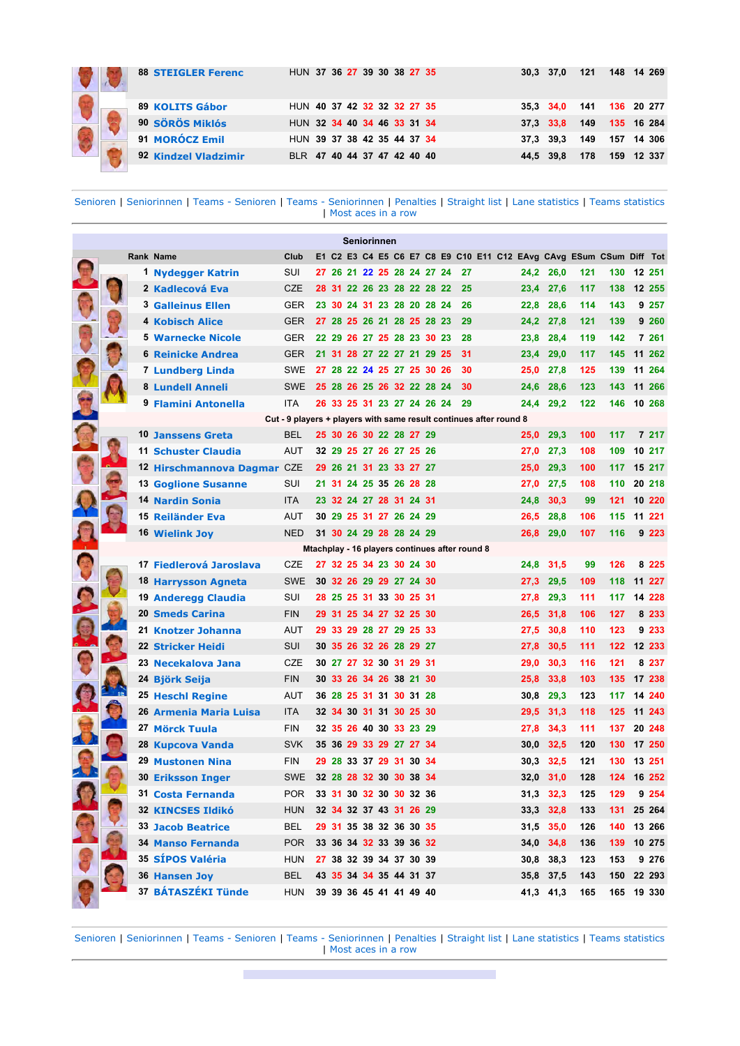|  | <b>88 STEIGLER Ferenc</b> | HUN 37 36 27 39 30 38 27 35 |  |  |  |  |  | 30.3 37.0     | 121 | 148 14 269 |  |
|--|---------------------------|-----------------------------|--|--|--|--|--|---------------|-----|------------|--|
|  | 89 KOLITS Gábor           | HUN 40 37 42 32 32 32 27 35 |  |  |  |  |  | $35.3$ $34.0$ | 141 | 136 20 277 |  |
|  | 90 SÖRÖS Miklós           | HUN 32 34 40 34 46 33 31 34 |  |  |  |  |  | $37.3$ $33.8$ | 149 | 135 16 284 |  |
|  | 91 MORÓCZ Emil            | HUN 39 37 38 42 35 44 37 34 |  |  |  |  |  | 37,3 39,3     | 149 | 157 14 306 |  |
|  | 92 Kindzel Vladzimir      | BLR 47 40 44 37 47 42 40 40 |  |  |  |  |  | 44.5 39.8     | 178 | 159 12 337 |  |
|  |                           |                             |  |  |  |  |  |               |     |            |  |

Senioren | Seniorinnen | Teams - Senioren | Teams - Seniorinnen | Penalties | Straight list | Lane statistics | Teams statistics | Most aces in a row

|  |                             |                                                                    |  | <b>Seniorinnen</b>         |  |  |                                                |                                                                     |               |     |     |            |
|--|-----------------------------|--------------------------------------------------------------------|--|----------------------------|--|--|------------------------------------------------|---------------------------------------------------------------------|---------------|-----|-----|------------|
|  | Rank Name                   | Club                                                               |  |                            |  |  |                                                | E1 C2 E3 C4 E5 C6 E7 C8 E9 C10 E11 C12 EAvg CAvg ESum CSum Diff Tot |               |     |     |            |
|  | 1 Nydegger Katrin           | <b>SUI</b>                                                         |  |                            |  |  | 27 26 21 22 25 28 24 27 24 27                  |                                                                     | 24,2 26,0     | 121 | 130 | 12 251     |
|  | 2 Kadlecová Eva             | <b>CZE</b>                                                         |  | 28 31 22 26 23 28 22 28 22 |  |  | -25                                            |                                                                     | 23,4 27,6     | 117 | 138 | 12 255     |
|  | <b>3 Galleinus Ellen</b>    | <b>GER</b>                                                         |  | 23 30 24 31 23 28 20 28 24 |  |  | 26                                             | 22,8                                                                | 28,6          | 114 | 143 | 9 257      |
|  | <b>4 Kobisch Alice</b>      | <b>GER</b>                                                         |  | 27 28 25 26 21 28 25 28 23 |  |  | 29                                             | 24,2                                                                | 27,8          | 121 | 139 | 9 260      |
|  | <b>5 Warnecke Nicole</b>    | <b>GER</b>                                                         |  | 22 29 26 27 25 28 23 30 23 |  |  | 28                                             | 23,8                                                                | 28,4          | 119 | 142 | 7 261      |
|  | <b>6 Reinicke Andrea</b>    | <b>GER</b>                                                         |  | 21 31 28 27 22 27 21 29 25 |  |  | 31                                             | 23,4                                                                | 29,0          | 117 | 145 | 11 262     |
|  | 7 Lundberg Linda            | <b>SWE</b>                                                         |  | 27 28 22 24 25 27 25 30 26 |  |  | 30                                             | 25,0                                                                | 27,8          | 125 | 139 | 11 264     |
|  | 8 Lundell Anneli            | <b>SWE</b>                                                         |  | 25 28 26 25 26 32 22 28 24 |  |  | 30                                             |                                                                     | 24,6 28,6     | 123 | 143 | 11 266     |
|  | 9 Flamini Antonella         | <b>ITA</b>                                                         |  |                            |  |  | 26 33 25 31 23 27 24 26 24 29                  | 24,4                                                                | 29,2          | 122 | 146 | 10 268     |
|  |                             | Cut - 9 players + players with same result continues after round 8 |  |                            |  |  |                                                |                                                                     |               |     |     |            |
|  | <b>10 Janssens Greta</b>    | <b>BEL</b>                                                         |  | 25 30 26 30 22 28 27 29    |  |  |                                                | 25,0                                                                | 29,3          | 100 | 117 | 7 217      |
|  | <b>11 Schuster Claudia</b>  | <b>AUT</b>                                                         |  | 32 29 25 27 26 27 25 26    |  |  |                                                | 27,0                                                                | 27,3          | 108 | 109 | 10 217     |
|  | 12 Hirschmannova Dagmar CZE |                                                                    |  | 29 26 21 31 23 33 27 27    |  |  |                                                | 25,0                                                                | 29,3          | 100 |     | 117 15 217 |
|  | <b>13 Goglione Susanne</b>  | SUI                                                                |  | 21 31 24 25 35 26 28 28    |  |  |                                                | 27,0                                                                | 27,5          | 108 |     | 110 20 218 |
|  | <b>14 Nardin Sonia</b>      | <b>ITA</b>                                                         |  | 23 32 24 27 28 31 24 31    |  |  |                                                | 24,8                                                                | 30,3          | 99  |     | 121 10 220 |
|  | 15 Reiländer Eva            | <b>AUT</b>                                                         |  | 30 29 25 31 27 26 24 29    |  |  |                                                | 26,5                                                                | 28,8          | 106 |     | 115 11 221 |
|  | <b>16 Wielink Joy</b>       | <b>NED</b>                                                         |  | 31 30 24 29 28 28 24 29    |  |  |                                                | 26,8                                                                | 29,0          | 107 | 116 | 9 2 2 3    |
|  |                             |                                                                    |  |                            |  |  | Mtachplay - 16 players continues after round 8 |                                                                     |               |     |     |            |
|  | 17 Fiedlerová Jaroslava     | <b>CZE</b>                                                         |  | 27 32 25 34 23 30 24 30    |  |  |                                                |                                                                     | 24.8 31.5     | 99  | 126 | 8 2 2 5    |
|  | 18 Harrysson Agneta         | <b>SWE</b>                                                         |  | 30 32 26 29 29 27 24 30    |  |  |                                                | 27,3                                                                | 29,5          | 109 | 118 | 11 227     |
|  | 19 Anderegg Claudia         | SUI                                                                |  | 28 25 25 31 33 30 25 31    |  |  |                                                | 27,8                                                                | 29,3          | 111 | 117 | 14 228     |
|  | 20 Smeds Carina             | <b>FIN</b>                                                         |  | 29 31 25 34 27 32 25 30    |  |  |                                                | 26,5                                                                | 31,8          | 106 | 127 | 8 2 3 3    |
|  | 21 Knotzer Johanna          | <b>AUT</b>                                                         |  | 29 33 29 28 27 29 25 33    |  |  |                                                | 27,5                                                                | 30,8          | 110 | 123 | 9 233      |
|  | <b>22 Stricker Heidi</b>    | <b>SUI</b>                                                         |  | 30 35 26 32 26 28 29 27    |  |  |                                                | 27,8                                                                | 30,5          | 111 | 122 | 12 233     |
|  | 23 Necekalova Jana          | <b>CZE</b>                                                         |  | 30 27 27 32 30 31 29 31    |  |  |                                                | 29,0                                                                | 30,3          | 116 | 121 | 8 2 3 7    |
|  | 24 Björk Seija              | <b>FIN</b>                                                         |  | 30 33 26 34 26 38 21 30    |  |  |                                                | 25,8                                                                | 33,8          | 103 |     | 135 17 238 |
|  | <b>25 Heschl Regine</b>     | <b>AUT</b>                                                         |  | 36 28 25 31 31 30 31 28    |  |  |                                                | 30,8                                                                | 29,3          | 123 | 117 | 14 240     |
|  | 26 Armenia Maria Luisa      | <b>ITA</b>                                                         |  | 32 34 30 31 31 30 25 30    |  |  |                                                | 29,5                                                                | 31,3          | 118 |     | 125 11 243 |
|  | 27 Mörck Tuula              | <b>FIN</b>                                                         |  | 32 35 26 40 30 33 23 29    |  |  |                                                | 27,8                                                                | 34,3          | 111 |     | 137 20 248 |
|  | 28 Kupcova Vanda            | <b>SVK</b>                                                         |  | 35 36 29 33 29 27 27 34    |  |  |                                                |                                                                     | $30,0$ $32,5$ | 120 |     | 130 17 250 |
|  | <b>29 Mustonen Nina</b>     | <b>FIN</b>                                                         |  | 29 28 33 37 29 31 30 34    |  |  |                                                | 30,3                                                                | 32,5          | 121 | 130 | 13 251     |
|  | <b>30 Eriksson Inger</b>    | SWE                                                                |  | 32 28 28 32 30 30 38 34    |  |  |                                                |                                                                     | $32,0$ $31,0$ | 128 |     | 124 16 252 |
|  | 31 Costa Fernanda           | POR 33 31 30 32 30 30 32 36                                        |  |                            |  |  |                                                |                                                                     | $31,3$ $32,3$ | 125 | 129 | 9 254      |
|  | 32 KINCSES Ildikó           | <b>HUN</b>                                                         |  | 32 34 32 37 43 31 26 29    |  |  |                                                |                                                                     | $33,3$ $32,8$ | 133 |     | 131 25 264 |
|  | <b>33 Jacob Beatrice</b>    | <b>BEL</b>                                                         |  | 29 31 35 38 32 36 30 35    |  |  |                                                |                                                                     | $31,5$ $35,0$ | 126 |     | 140 13 266 |
|  | <b>34 Manso Fernanda</b>    | POR                                                                |  | 33 36 34 32 33 39 36 32    |  |  |                                                |                                                                     | 34,0 34,8     | 136 |     | 139 10 275 |
|  | 35 SÍPOS Valéria            | <b>HUN</b>                                                         |  | 27 38 32 39 34 37 30 39    |  |  |                                                |                                                                     | 30,8 38,3     | 123 | 153 | 9 276      |
|  | 36 Hansen Joy               | <b>BEL</b>                                                         |  | 43 35 34 34 35 44 31 37    |  |  |                                                |                                                                     | 35,8 37,5     | 143 |     | 150 22 293 |
|  | 37 BÁTASZÉKI Tünde          | HUN                                                                |  | 39 39 36 45 41 41 49 40    |  |  |                                                |                                                                     | 41,3 41,3     | 165 |     | 165 19 330 |

Senioren | Seniorinnen | Teams - Senioren | Teams - Seniorinnen | Penalties | Straight list | Lane statistics | Teams statistics | Most aces in a row

×

÷,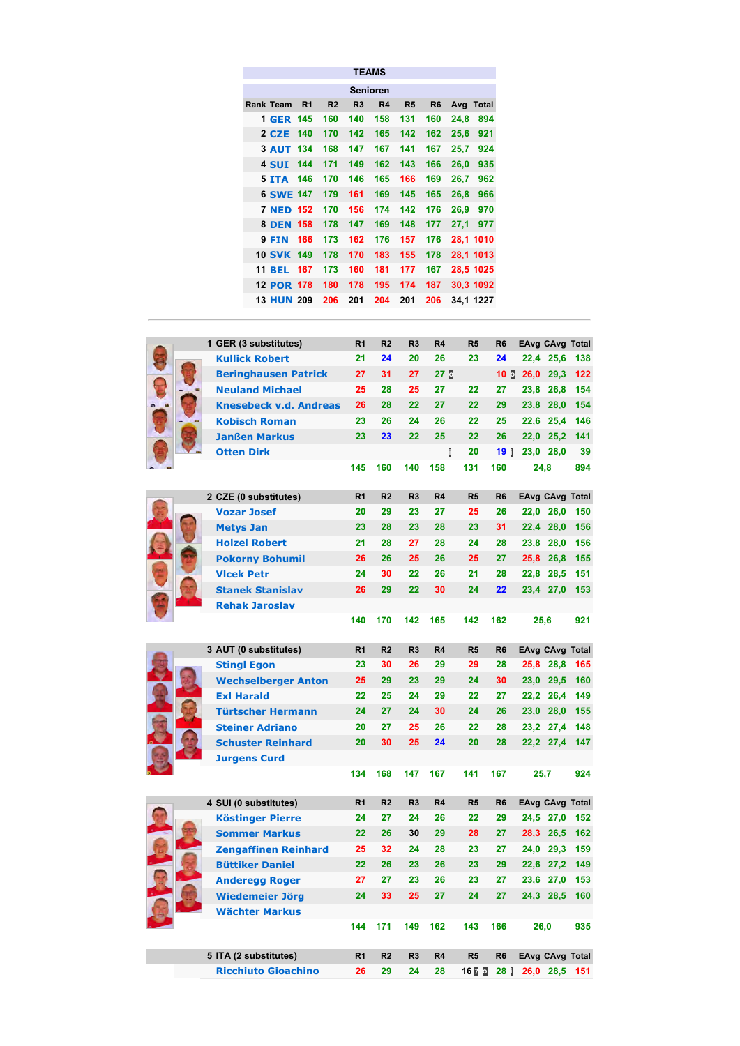|                  |                   |                |                | <b>TEAMS</b>    |                |                |                |      |              |
|------------------|-------------------|----------------|----------------|-----------------|----------------|----------------|----------------|------|--------------|
|                  |                   |                |                | <b>Senioren</b> |                |                |                |      |              |
| <b>Rank Team</b> |                   | R <sub>1</sub> | R <sub>2</sub> | R3              | R <sub>4</sub> | R <sub>5</sub> | R <sub>6</sub> | Avg  | <b>Total</b> |
|                  | 1 GER             | 145            | 160            | 140             | 158            | 131            | 160            | 24,8 | 894          |
|                  | 2 CZE             | 140            | 170            | 142             | 165            | 142            | 162            | 25,6 | 921          |
|                  | 3 AUT 134         |                | 168            | 147             | 167            | 141            | 167            | 25,7 | 924          |
|                  | 4 SUI             | 144            | 171            | 149             | 162            | 143            | 166            | 26,0 | 935          |
|                  | 5 ITA             | 146            | 170            | 146             | 165            | 166            | 169            | 26,7 | 962          |
|                  | <b>6 SWE 147</b>  |                | 179            | 161             | 169            | 145            | 165            | 26,8 | 966          |
|                  | <b>7 NED 152</b>  |                | 170            | 156             | 174            | 142            | 176            | 26,9 | 970          |
|                  | 8 DEN             | 158            | 178            | 147             | 169            | 148            | 177            | 27.1 | 977          |
|                  | 9 FIN             | 166            | 173            | 162             | 176            | 157            | 176            |      | 28,1 1010    |
|                  | <b>10 SVK</b>     | 149            | 178            | 170             | 183            | 155            | 178            |      | 28,1 1013    |
|                  | <b>11 BEL</b>     | 167            | 173            | 160             | 181            | 177            | 167            |      | 28,5 1025    |
|                  | 12 POR 178        |                | 180            | 178             | 195            | 174            | 187            |      | 30,3 1092    |
|                  | <b>13 HUN 209</b> |                | 206            | 201             | 204            | 201            | 206            |      | 34,1 1227    |

|  | 1 GER (3 substitutes)         | R <sub>1</sub> | R <sub>2</sub> | R <sub>3</sub> | R4              | R <sub>5</sub> | R <sub>6</sub> | EAvg CAvg Total        |      |     |
|--|-------------------------------|----------------|----------------|----------------|-----------------|----------------|----------------|------------------------|------|-----|
|  | <b>Kullick Robert</b>         | 21             | 24             | 20             | 26              | 23             | 24             | 22,4                   | 25,6 | 138 |
|  | <b>Beringhausen Patrick</b>   | 27             | 31             | 27             | 27 <sub>5</sub> |                |                | $10 \overline{3}$ 26,0 | 29,3 | 122 |
|  | <b>Neuland Michael</b>        | 25             | 28             | 25             | 27              | 22             | 27             | 23,8 26,8              |      | 154 |
|  | <b>Knesebeck v.d. Andreas</b> | 26             | 28             | 22             | 27              | 22             | 29             | 23,8 28,0              |      | 154 |
|  | <b>Kobisch Roman</b>          | 23             | 26             | 24             | 26              | 22             | 25             | 22,6 25,4              |      | 146 |
|  | <b>Janßen Markus</b>          | 23             | 23             | 22             | 25              | 22             | 26             | 22,0                   | 25,2 | 141 |
|  | <b>Otten Dirk</b>             |                |                |                | ı               | 20             | 19             | 23,0 28,0              |      | 39  |
|  |                               | 145            | 160            | 140            | 158             | 131            | 160            | 24,8                   |      | 894 |
|  | 2 CZE (0 substitutes)         | R <sub>1</sub> | R2             | R <sub>3</sub> | R4              | R5             | R <sub>6</sub> | <b>EAvg CAvg Total</b> |      |     |
|  | <b>Vozar Josef</b>            | 20             | 29             | 23             | 27              | 25             | 26             | 22,0 26,0              |      | 150 |
|  | <b>Metys Jan</b>              | 23             | 28             | 23             | 28              | 23             | 31             | 22,4 28,0              |      | 156 |
|  | <b>Holzel Robert</b>          | 21             | 28             | 27             | 28              | 24             | 28             | 23,8 28,0              |      | 156 |
|  | <b>Pokorny Bohumil</b>        | 26             | 26             | 25             | 26              | 25             | 27             | 25,8 26,8              |      | 155 |
|  | <b>Vicek Petr</b>             | 24             | 30             | 22             | 26              | 21             | 28             | 22,8 28,5              |      | 151 |
|  | <b>Stanek Stanislav</b>       | 26             | 29             | 22             | 30              | 24             | 22             | 23,4 27,0              |      | 153 |
|  | <b>Rehak Jaroslav</b>         |                |                |                |                 |                |                |                        |      |     |
|  |                               | 140            | 170            | 142            | 165             | 142            | 162            | 25,6                   |      | 921 |
|  | 3 AUT (0 substitutes)         | R <sub>1</sub> | R2             | R <sub>3</sub> | R4              | R <sub>5</sub> | R <sub>6</sub> | EAvg CAvg Total        |      |     |
|  | <b>Stingl Egon</b>            | 23             | 30             | 26             | 29              | 29             | 28             | 25,8 28,8              |      | 165 |
|  | <b>Wechselberger Anton</b>    | 25             | 29             | 23             | 29              | 24             | 30             | 23,0 29,5              |      | 160 |
|  | <b>Exl Harald</b>             | 22             | 25             | 24             | 29              | 22             | 27             | 22,2 26,4              |      | 149 |
|  | <b>Türtscher Hermann</b>      | 24             | 27             | 24             | 30              | 24             | 26             | 23,0 28,0              |      | 155 |
|  | <b>Steiner Adriano</b>        | 20             | 27             | 25             | 26              | 22             | 28             | 23,2 27,4              |      | 148 |
|  | <b>Schuster Reinhard</b>      | 20             | 30             | 25             | 24              | 20             | 28             | 22,2 27,4              |      | 147 |
|  | <b>Jurgens Curd</b>           |                |                |                |                 |                |                |                        |      |     |
|  |                               | 134            | 168            | 147            | 167             | 141            | 167            | 25,7                   |      | 924 |
|  | 4 SUI (0 substitutes)         | R <sub>1</sub> | R <sub>2</sub> | R <sub>3</sub> | R4              | R <sub>5</sub> | R <sub>6</sub> | EAvg CAvg Total        |      |     |
|  | <b>Köstinger Pierre</b>       | 24             | 27             | 24             | 26              | 22             | 29             | 24,5 27,0              |      | 152 |
|  | <b>Sommer Markus</b>          | 22             | 26             | 30             | 29              | 28             | 27             | 28,3 26,5              |      | 162 |
|  | <b>Zengaffinen Reinhard</b>   | 25             | 32             | 24             | 28              | 23             | 27             | 24,0 29,3              |      | 159 |
|  | <b>Büttiker Daniel</b>        | 22             | 26             | 23             | 26              | 23             | 29             | 22,6 27,2              |      | 149 |
|  | <b>Anderegg Roger</b>         | 27             | 27             | 23             | 26              | 23             | 27             | 23,6 27,0              |      | 153 |
|  | <b>Wiedemeier Jörg</b>        | 24             | 33             | 25             | 27              | 24             | 27             | 24,3 28,5              |      | 160 |
|  | <b>Wächter Markus</b>         |                |                |                |                 |                |                |                        |      |     |
|  |                               | 144            | 171            | 149            | 162             | 143            | 166            | 26,0                   |      | 935 |
|  | 5 ITA (2 substitutes)         | R <sub>1</sub> | R <sub>2</sub> | R <sub>3</sub> | R4              | R <sub>5</sub> | R <sub>6</sub> | EAvg CAvg Total        |      |     |
|  | <b>Ricchiuto Gioachino</b>    | 26             | 29             | 24             | 28              | 167c           | 28             | 26,0 28,5              |      | 151 |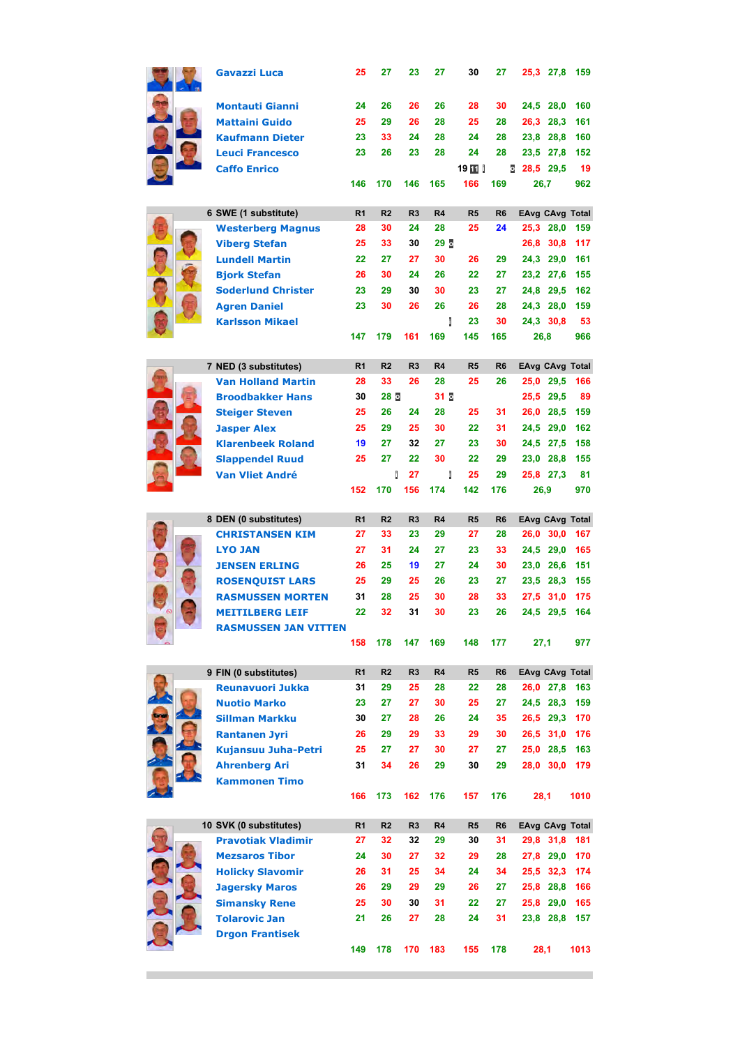|  | Gavazzi Luca                                     | 25             | 27              | 23             | 27                    | 30             | 27             |                        | 25,3 27,8              | 159        |
|--|--------------------------------------------------|----------------|-----------------|----------------|-----------------------|----------------|----------------|------------------------|------------------------|------------|
|  | <b>Montauti Gianni</b>                           | 24             | 26              | 26             | 26                    | 28             | 30             |                        | 24,5 28,0              | 160        |
|  | <b>Mattaini Guido</b>                            | 25             | 29              | 26             | 28                    | 25             | 28             | 26,3                   | 28,3                   | 161        |
|  | <b>Kaufmann Dieter</b>                           | 23             | 33              | 24             | 28                    | 24             | 28             | 23,8                   | 28,8                   | 160        |
|  | <b>Leuci Francesco</b>                           | 23             | 26              | 23             | 28                    | 24             | 28             |                        | 23,5 27,8              | 152        |
|  | <b>Caffo Enrico</b>                              |                |                 |                |                       | 19 TI I        |                | 28,5 29,5<br>o.        |                        | 19         |
|  |                                                  | 146            | 170             | 146            | 165                   | 166            | 169            | 26,7                   |                        | 962        |
|  |                                                  |                |                 |                |                       |                |                |                        |                        |            |
|  | 6 SWE (1 substitute)                             | R <sub>1</sub> | R <sub>2</sub>  | R3             | R4                    | R5<br>25       | R6             | EAvg CAvg Total        |                        |            |
|  | <b>Westerberg Magnus</b>                         | 28             | 30              | 24             | 28                    |                | 24             |                        | 25,3 28,0<br>26,8 30,8 | 159        |
|  | <b>Viberg Stefan</b>                             | 25<br>22       | 33<br>27        | 30<br>27       | 29 <sub>o</sub><br>30 | 26             | 29             |                        | 24,3 29,0              | 117        |
|  | <b>Lundell Martin</b>                            | 26             | 30              | 24             | 26                    | 22             | 27             |                        | 23,2 27,6              | 161<br>155 |
|  | <b>Bjork Stefan</b><br><b>Soderlund Christer</b> | 23             | 29              | 30             | 30                    | 23             | 27             |                        | 24,8 29,5              | 162        |
|  |                                                  | 23             | 30              | 26             | 26                    | 26             | 28             |                        | 24,3 28,0              | 159        |
|  | <b>Agren Daniel</b><br><b>Karlsson Mikael</b>    |                |                 |                | I                     | 23             | 30             | 24,3 30,8              |                        | 53         |
|  |                                                  | 147            | 179             | 161            | 169                   | 145            | 165            | 26,8                   |                        | 966        |
|  |                                                  |                |                 |                |                       |                |                |                        |                        |            |
|  | 7 NED (3 substitutes)                            | R <sub>1</sub> | R <sub>2</sub>  | R <sub>3</sub> | R <sub>4</sub>        | R <sub>5</sub> | R <sub>6</sub> | EAvg CAvg Total        |                        |            |
|  | <b>Van Holland Martin</b>                        | 28             | 33              | 26             | 28                    | 25             | 26             | 25,0                   | 29,5                   | 166        |
|  | <b>Broodbakker Hans</b>                          | 30             | 28 <sub>o</sub> |                | 31 <sub>o</sub>       |                |                | 25,5                   | 29,5                   | 89         |
|  | <b>Steiger Steven</b>                            | 25             | 26              | 24             | 28                    | 25             | 31             | 26,0                   | 28.5                   | 159        |
|  | <b>Jasper Alex</b>                               | 25             | 29              | 25             | 30                    | 22             | 31             | 24,5                   | 29,0                   | 162        |
|  | <b>Klarenbeek Roland</b>                         | 19             | 27              | 32             | 27                    | 23             | 30             |                        | 24,5 27,5              | 158        |
|  | <b>Slappendel Ruud</b>                           | 25             | 27              | 22             | 30                    | 22             | 29             | 23,0                   | 28,8                   | 155        |
|  | <b>Van Vliet André</b>                           |                | đ               | 27             | ľ                     | 25             | 29             | 25,8 27,3              |                        | 81         |
|  |                                                  | 152            | 170             | 156            | 174                   | 142            | 176            | 26,9                   |                        | 970        |
|  | 8 DEN (0 substitutes)                            | R <sub>1</sub> | R <sub>2</sub>  | R <sub>3</sub> | R <sub>4</sub>        | R <sub>5</sub> | R <sub>6</sub> | EAvg CAvg Total        |                        |            |
|  | <b>CHRISTANSEN KIM</b>                           | 27             | 33              | 23             | 29                    | 27             | 28             |                        | 26,0 30,0              | 167        |
|  | <b>LYO JAN</b>                                   | 27             | 31              | 24             | 27                    | 23             | 33             |                        | 24,5 29,0              | 165        |
|  | <b>JENSEN ERLING</b>                             | 26             | 25              | 19             | 27                    | 24             | 30             | 23,0                   | 26,6                   | 151        |
|  | <b>ROSENQUIST LARS</b>                           | 25             | 29              | 25             | 26                    | 23             | 27             | 23,5                   | 28,3                   | 155        |
|  | <b>RASMUSSEN MORTEN</b>                          | 31<br>22       | 28<br>32        | 25<br>31       | 30<br>30              | 28             | 33<br>26       | 27,5                   | 31,0                   | 175        |
|  | <b>MEITILBERG LEIF</b>                           |                |                 |                |                       | 23             |                |                        | 24,5 29,5              | 164        |
|  | <b>RASMUSSEN JAN VITTEN</b>                      | 158            | 178             | 147            | 169                   | 148            | 177            | 27,1                   |                        | 977        |
|  | 9 FIN (0 substitutes)                            | R <sub>1</sub> | R <sub>2</sub>  | R <sub>3</sub> | R4                    | R5             | R6             | <b>EAvg CAvg Total</b> |                        |            |
|  | <b>Reunavuori Jukka</b>                          | 31             | 29              | 25             | 28                    | 22             | 28             |                        | 26,0 27,8              | 163        |
|  | <b>Nuotio Marko</b>                              | 23             | 27              | 27             | 30                    | 25             | 27             |                        | 24,5 28,3              | 159        |
|  | Sillman Markku                                   | 30             | 27              | 28             | 26                    | 24             | 35             |                        | 26,5 29,3              | 170        |
|  | <b>Rantanen Jyri</b>                             | 26             | 29              | 29             | 33                    | 29             | 30             |                        | 26,5 31,0              | 176        |
|  | <b>Kujansuu Juha-Petri</b>                       | 25             | 27              | 27             | 30                    | 27             | 27             |                        | 25,0 28,5              | 163        |
|  | <b>Ahrenberg Ari</b>                             | 31             | 34              | 26             | 29                    | 30             | 29             |                        | 28,0 30,0              | 179        |
|  | <b>Kammonen Timo</b>                             |                |                 |                |                       |                |                |                        |                        |            |
|  |                                                  | 166            | 173             | 162            | 176                   | 157            | 176            | 28,1                   |                        | 1010       |
|  | 10 SVK (0 substitutes)                           | R <sub>1</sub> | R2              | R <sub>3</sub> | R4                    | R5             | R6             | <b>EAvg CAvg Total</b> |                        |            |
|  | <b>Pravotiak Vladimir</b>                        | 27             | 32              | 32             | 29                    | 30             | 31             |                        | 29,8 31,8              | 181        |
|  | <b>Mezsaros Tibor</b>                            | 24             | 30              | 27             | 32                    | 29             | 28             |                        | 27,8 29,0              | 170        |
|  | <b>Holicky Slavomir</b>                          | 26             | 31              | 25             | 34                    | 24             | 34             |                        | 25,5 32,3              | 174        |
|  | <b>Jagersky Maros</b>                            | 26             | 29              | 29             | 29                    | 26             | 27             |                        | 25,8 28,8              | 166        |
|  | <b>Simansky Rene</b>                             | 25             | 30              | 30             | 31                    | 22             | 27             |                        | 25,8 29,0              | 165        |
|  | <b>Tolarovic Jan</b>                             | 21             | 26              | 27             | 28                    | 24             | 31             |                        | 23,8 28,8              | 157        |
|  | <b>Drgon Frantisek</b>                           |                |                 |                |                       |                |                |                        |                        |            |
|  |                                                  | 149            | 178             | 170            | 183                   | 155            | 178            | 28,1                   |                        | 1013       |

п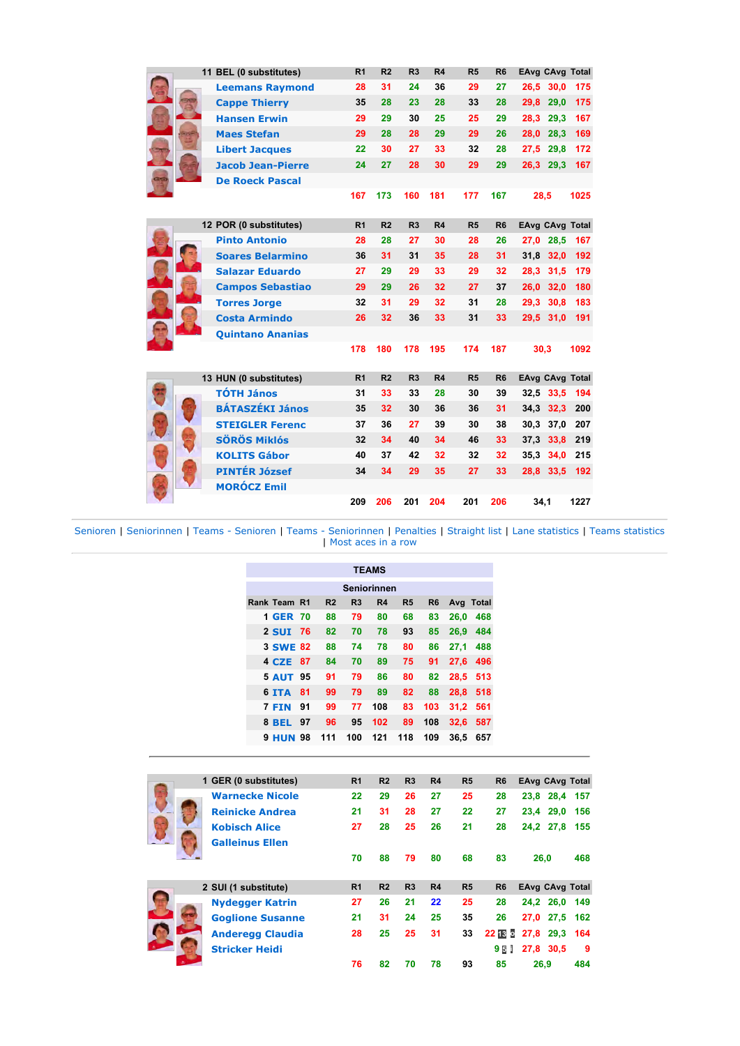|  | 11 BEL (0 substitutes)   | R <sub>1</sub> | R <sub>2</sub> | R <sub>3</sub> | <b>R4</b>      | R5  | R <sub>6</sub> | EAvg CAvg Total        |      |      |
|--|--------------------------|----------------|----------------|----------------|----------------|-----|----------------|------------------------|------|------|
|  | <b>Leemans Raymond</b>   | 28             | 31             | 24             | 36             | 29  | 27             | 26,5                   | 30,0 | 175  |
|  | <b>Cappe Thierry</b>     | 35             | 28             | 23             | 28             | 33  | 28             | 29,8                   | 29,0 | 175  |
|  | <b>Hansen Erwin</b>      | 29             | 29             | 30             | 25             | 25  | 29             | 28,3 29,3              |      | 167  |
|  | <b>Maes Stefan</b>       | 29             | 28             | 28             | 29             | 29  | 26             | 28,0 28,3              |      | 169  |
|  | <b>Libert Jacques</b>    | 22             | 30             | 27             | 33             | 32  | 28             | 27,5                   | 29,8 | 172  |
|  | <b>Jacob Jean-Pierre</b> | 24             | 27             | 28             | 30             | 29  | 29             | 26,3 29,3              |      | 167  |
|  | <b>De Roeck Pascal</b>   |                |                |                |                |     |                |                        |      |      |
|  |                          | 167            | 173            | 160            | 181            | 177 | 167            | 28,5                   |      | 1025 |
|  | 12 POR (0 substitutes)   | R <sub>1</sub> | R <sub>2</sub> | R <sub>3</sub> | R <sub>4</sub> | R5  | R <sub>6</sub> | EAvg CAvg Total        |      |      |
|  | <b>Pinto Antonio</b>     | 28             | 28             | 27             | 30             | 28  | 26             | 27,0 28,5              |      | 167  |
|  | <b>Soares Belarmino</b>  | 36             | 31             | 31             | 35             | 28  | 31             | 31,8                   | 32,0 | 192  |
|  | <b>Salazar Eduardo</b>   | 27             | 29             | 29             | 33             | 29  | 32             | 28.3                   | 31,5 | 179  |
|  | <b>Campos Sebastiao</b>  | 29             | 29             | 26             | 32             | 27  | 37             | 26,0                   | 32,0 | 180  |
|  | <b>Torres Jorge</b>      | 32             | 31             | 29             | 32             | 31  | 28             | 29,3                   | 30,8 | 183  |
|  | <b>Costa Armindo</b>     | 26             | 32             | 36             | 33             | 31  | 33             | 29,5 31,0              |      | 191  |
|  | <b>Quintano Ananias</b>  |                |                |                |                |     |                |                        |      |      |
|  |                          | 178            | 180            | 178            | 195            | 174 | 187            | 30,3                   |      | 1092 |
|  | 13 HUN (0 substitutes)   | R <sub>1</sub> | R <sub>2</sub> | R <sub>3</sub> | R4             | R5  | R <sub>6</sub> | <b>EAvg CAvg Total</b> |      |      |
|  | <b>TÓTH János</b>        | 31             | 33             | 33             | 28             | 30  | 39             | $32.5$ $33.5$          |      | 194  |
|  | <b>BÁTASZÉKI János</b>   | 35             | 32             | 30             | 36             | 36  | 31             | 34,3 32,3              |      | 200  |
|  | <b>STEIGLER Ferenc</b>   | 37             | 36             | 27             | 39             | 30  | 38             | 30,3 37,0              |      | 207  |
|  | <b>SÖRÖS Miklós</b>      | 32             | 34             | 40             | 34             | 46  | 33             | 37,3                   | 33,8 | 219  |
|  | <b>KOLITS Gábor</b>      | 40             | 37             | 42             | 32             | 32  | 32             | 35,3 34,0              |      | 215  |
|  | PINTÉR József            | 34             | 34             | 29             | 35             | 27  | 33             | 28,8                   | 33,5 | 192  |
|  | <b>MORÓCZ Emil</b>       |                |                |                |                |     |                |                        |      |      |
|  |                          | 209            | 206            | 201            | 204            | 201 | 206            | 34,1                   |      | 1227 |

Senioren | Seniorinnen | Teams - Senioren | Teams - Seniorinnen | Penalties | Straight list | Lane statistics | Teams statistics | Most aces in a row

|              |                                                                                                                     |                |     | TEAMS       |                |                |      |           |  |  |  |  |  |  |  |
|--------------|---------------------------------------------------------------------------------------------------------------------|----------------|-----|-------------|----------------|----------------|------|-----------|--|--|--|--|--|--|--|
|              |                                                                                                                     |                |     | Seniorinnen |                |                |      |           |  |  |  |  |  |  |  |
| Rank Team R1 |                                                                                                                     | R <sub>2</sub> | R3  | R4          | R <sub>5</sub> | R <sub>6</sub> |      | Avg Total |  |  |  |  |  |  |  |
|              | 88<br>79<br>80<br>68<br>83<br><b>1 GER 70</b><br>26.0<br>468<br>70<br>82<br>78<br>93<br>85<br>26,9<br>2 SUI<br>- 76 |                |     |             |                |                |      |           |  |  |  |  |  |  |  |
|              |                                                                                                                     |                |     |             |                |                |      | 484       |  |  |  |  |  |  |  |
|              | <b>3 SWE 82</b>                                                                                                     | 88             | 74  | 78          | 80             | 86             | 27.1 | 488       |  |  |  |  |  |  |  |
| 4 CZE        | 87                                                                                                                  | 84             | 70  | 89          | 75             | 91             | 27,6 | 496       |  |  |  |  |  |  |  |
|              | <b>5 AUT 95</b>                                                                                                     | 91             | 79  | 86          | 80             | 82             | 28.5 | 513       |  |  |  |  |  |  |  |
| 6 ITA        | 81                                                                                                                  | 99             | 79  | 89          | 82             | 88             | 28.8 | 518       |  |  |  |  |  |  |  |
| 7 FIN        | 91                                                                                                                  | 99             | 77  | 108         | 83             | 103            | 31.2 | 561       |  |  |  |  |  |  |  |
| 8 BEL        | 97                                                                                                                  | 96             | 95  | 102         | 89             | 108            | 32.6 | 587       |  |  |  |  |  |  |  |
|              | 9 HUN 98                                                                                                            | 111            | 100 | 121         | 118            | 109            | 36.5 | 657       |  |  |  |  |  |  |  |

|  | 1 GER (0 substitutes)   | R <sub>1</sub> | R <sub>2</sub> | R <sub>3</sub> | R <sub>4</sub> | R <sub>5</sub> | R <sub>6</sub> | <b>EAvg CAvg Total</b> |       |
|--|-------------------------|----------------|----------------|----------------|----------------|----------------|----------------|------------------------|-------|
|  | <b>Warnecke Nicole</b>  | 22             | 29             | 26             | 27             | 25             | 28             | 23.8 28.4 157          |       |
|  | <b>Reinicke Andrea</b>  | 21             | 31             | 28             | 27             | 22             | 27             | 23,4 29,0              | 156   |
|  | <b>Kobisch Alice</b>    | 27             | 28             | 25             | 26             | 21             | 28             | 24,2 27,8              | 155   |
|  | <b>Galleinus Ellen</b>  |                |                |                |                |                |                |                        |       |
|  |                         | 70             | 88             | 79             | 80             | 68             | 83             | 26,0                   | 468   |
|  |                         |                |                |                |                |                |                |                        |       |
|  | 2 SUI (1 substitute)    | R <sub>1</sub> | R <sub>2</sub> | R <sub>3</sub> | R4             | R <sub>5</sub> | R <sub>6</sub> | <b>EAvg CAvg Total</b> |       |
|  | <b>Nydegger Katrin</b>  | 27             | 26             | 21             | 22             | 25             | 28             | 24,2 26,0              | - 149 |
|  | <b>Goglione Susanne</b> | 21             | 31             | 24             | 25             | 35             | 26             | 27,0 27,5 162          |       |
|  | <b>Anderegg Claudia</b> | 28             | 25             | 25             | 31             | 33             | 2213           | 27,8<br>29.3           | 164   |
|  | <b>Stricker Heidi</b>   |                |                |                |                |                | 9日1            | 27.8 30.5              | 9     |
|  |                         | 76             | 82             | 70             | 78             | 93             | 85             | 26,9                   | 484   |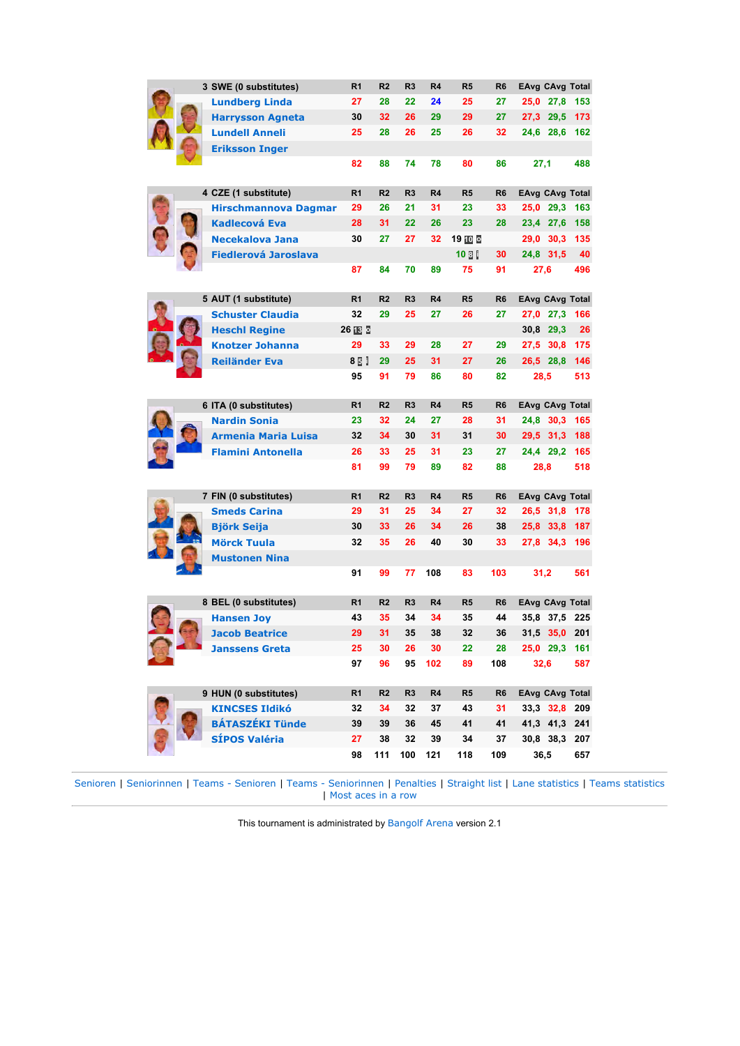|  | 3 SWE (0 substitutes)       | R <sub>1</sub>  | R <sub>2</sub> | R <sub>3</sub> | R4  | R <sub>5</sub>                      | R <sub>6</sub> | <b>EAvg CAvg Total</b> |     |
|--|-----------------------------|-----------------|----------------|----------------|-----|-------------------------------------|----------------|------------------------|-----|
|  | <b>Lundberg Linda</b>       | 27              | 28             | 22             | 24  | 25                                  | 27             | 25,0 27,8              | 153 |
|  | <b>Harrysson Agneta</b>     | 30              | 32             | 26             | 29  | 29                                  | 27             | 27,3 29,5 173          |     |
|  | <b>Lundell Anneli</b>       | 25              | 28             | 26             | 25  | 26                                  | 32             | 24,6 28,6 162          |     |
|  | <b>Eriksson Inger</b>       |                 |                |                |     |                                     |                |                        |     |
|  |                             | 82              | 88             | 74             | 78  | 80                                  | 86             | 27,1                   | 488 |
|  |                             |                 |                |                |     |                                     |                |                        |     |
|  | 4 CZE (1 substitute)        | R <sub>1</sub>  | R <sub>2</sub> | R <sub>3</sub> | R4  | R <sub>5</sub>                      | R <sub>6</sub> | <b>EAvg CAvg Total</b> |     |
|  | <b>Hirschmannova Dagmar</b> | 29              | 26             | 21             | 31  | 23                                  | 33             | 25,0 29,3              | 163 |
|  | <b>Kadlecová Eva</b>        | 28              | 31             | 22             | 26  | 23                                  | 28             | 23,4 27,6              | 158 |
|  | <b>Necekalova Jana</b>      | 30              | 27             | 27             | 32  | $19$ $\overline{10}$ $\overline{0}$ |                | 29,0 30,3              | 135 |
|  | <b>Fiedlerová Jaroslava</b> |                 |                |                |     | 10日                                 | 30             | 24,8 31,5              | 40  |
|  |                             | 87              | 84             | 70             | 89  | 75                                  | 91             | 27,6                   | 496 |
|  |                             |                 |                |                |     |                                     |                |                        |     |
|  | 5 AUT (1 substitute)        | R <sub>1</sub>  | R <sub>2</sub> | R3             | R4  | R <sub>5</sub>                      | R <sub>6</sub> | EAvg CAvg Total        |     |
|  | <b>Schuster Claudia</b>     | 32              | 29             | 25             | 27  | 26                                  | 27             | 27,0 27,3 166          |     |
|  | <b>Heschl Regine</b>        | 26 13 5         |                |                |     |                                     |                | 30,8 29,3              | 26  |
|  | <b>Knotzer Johanna</b>      | 29              | 33             | 29             | 28  | 27                                  | 29             | 27,5 30,8              | 175 |
|  | <b>Reiländer Eva</b>        | 8日              | 29             | 25             | 31  | 27                                  | 26             | 26,5 28,8              | 146 |
|  |                             | 95              | 91             | 79             | 86  | 80                                  | 82             | 28,5                   | 513 |
|  |                             |                 |                |                |     |                                     |                |                        |     |
|  | 6 ITA (0 substitutes)       | R <sub>1</sub>  | R <sub>2</sub> | R <sub>3</sub> | R4  | R <sub>5</sub>                      | R <sub>6</sub> | EAvg CAvg Total        |     |
|  | <b>Nardin Sonia</b>         | 23              | 32             | 24             | 27  | 28                                  | 31             | 24,8 30,3              | 165 |
|  | Armenia Maria Luisa         | 32              | 34             | 30             | 31  | 31                                  | 30             | 29,5 31,3 188          |     |
|  | <b>Flamini Antonella</b>    | 26              | 33             | 25             | 31  | 23                                  | 27             | 24,4 29,2              | 165 |
|  |                             | 81              | 99             | 79             | 89  | 82                                  | 88             | 28,8                   | 518 |
|  |                             |                 |                |                |     |                                     |                |                        |     |
|  | 7 FIN (0 substitutes)       | R <sub>1</sub>  | R <sub>2</sub> | R <sub>3</sub> | R4  | R5                                  | R <sub>6</sub> | EAvg CAvg Total        |     |
|  | <b>Smeds Carina</b>         | 29              | 31             | 25             | 34  | 27                                  | 32             | 26,5 31,8              | 178 |
|  | <b>Björk Seija</b>          | 30              | 33             | 26             | 34  | 26                                  | 38             | 25,8 33,8              | 187 |
|  | Mörck Tuula                 | 32              | 35             | 26             | 40  | 30                                  | 33             | 27,8 34,3 196          |     |
|  | <b>Mustonen Nina</b>        |                 |                |                |     |                                     |                |                        |     |
|  |                             | 91              | 99             | 77             | 108 | 83                                  | 103            | 31,2                   | 561 |
|  |                             |                 |                |                |     |                                     |                |                        |     |
|  | 8 BEL (0 substitutes)       | R <sub>1</sub>  | R <sub>2</sub> | R3             | R4  | R <sub>5</sub>                      | R6             | EAvg CAvg Total        |     |
|  | <b>Hansen Joy</b>           | 43              | 35             | 34             | 34  | 35                                  | 44             | 35,8 37,5 225          |     |
|  | <b>Jacob Beatrice</b>       | 29 <sub>2</sub> | 31             | 35             | 38  | 32                                  | 36             | 31,5 35,0 201          |     |
|  | <b>Janssens Greta</b>       | 25              | 30             | 26             | 30  | 22                                  | 28             | 25,0 29,3 161          |     |
|  |                             | 97              | 96             | 95             | 102 | 89                                  | 108            | 32,6                   | 587 |
|  |                             |                 |                |                |     |                                     |                |                        |     |
|  | 9 HUN (0 substitutes)       | R <sub>1</sub>  | R2             | R <sub>3</sub> | R4  | R <sub>5</sub>                      | R6             | EAvg CAvg Total        |     |
|  | <b>KINCSES Ildikó</b>       | 32              | 34             | 32             | 37  | 43                                  | 31             | 33,3 32,8 209          |     |
|  | <b>BÁTASZÉKI Tünde</b>      | 39              | 39             | 36             | 45  | 41                                  | 41             | 41,3 41,3 241          |     |
|  | <b>SÍPOS Valéria</b>        | 27              | 38             | 32             | 39  | 34                                  | 37             | 30,8 38,3              | 207 |
|  |                             | 98              | 111            | 100            | 121 | 118                                 | 109            | 36,5                   | 657 |

Senioren | Seniorinnen | Teams - Senioren | Teams - Seniorinnen | Penalties | Straight list | Lane statistics | Teams statistics | Most aces in a row

This tournament is administrated by Bangolf Arena version 2.1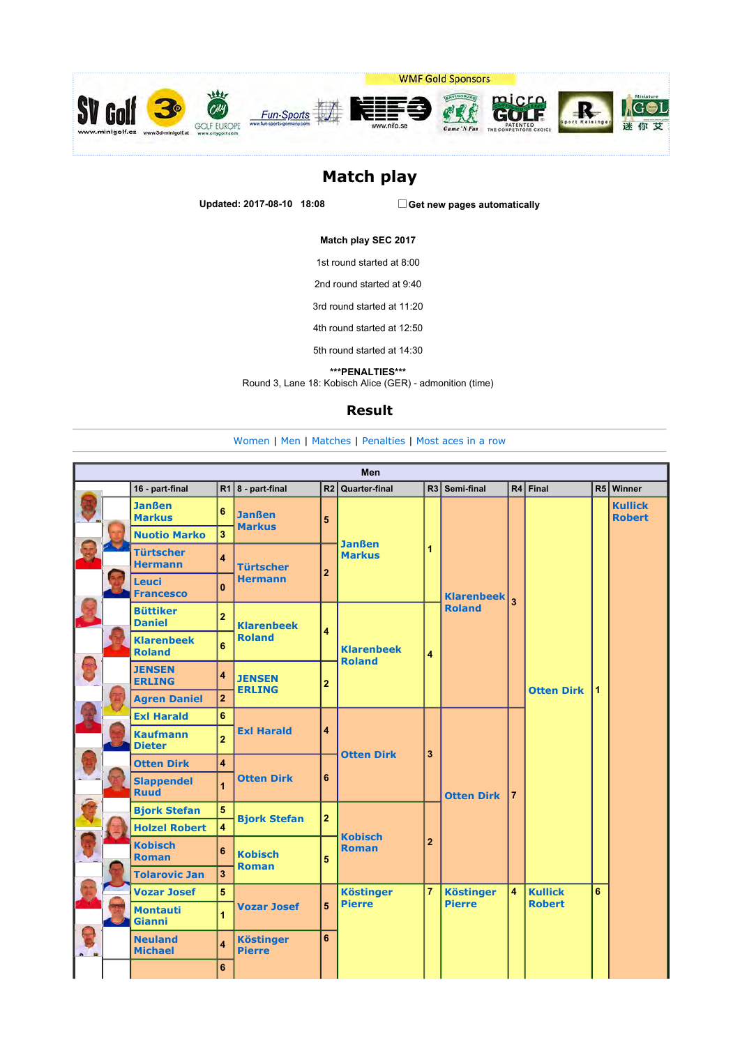

# Match play

Updated: 2017-08-10  $18:08$  Get new pages automatically

## Match play SEC 2017

1st round started at 8:00

2nd round started at 9:40

3rd round started at 11:20

4th round started at 12:50

5th round started at 14:30

\*\*\*PENALTIES\*\*\*

Round 3, Lane 18: Kobisch Alice (GER) - admonition (time)

## Result

Women | Men | Matches | Penalties | Most aces in a row

|         |                                    |                         |                                   |                         | Men                                |                         |                           |                |                   |    |                                 |
|---------|------------------------------------|-------------------------|-----------------------------------|-------------------------|------------------------------------|-------------------------|---------------------------|----------------|-------------------|----|---------------------------------|
|         | 16 - part-final                    |                         | $R1 \mid 8$ - part-final          | R2                      | <b>Quarter-final</b>               |                         | R <sub>3</sub> Semi-final |                | $R4$ Final        |    | R5 Winner                       |
|         | <b>Janßen</b><br><b>Markus</b>     | 6                       | <b>Janßen</b><br><b>Markus</b>    | 5                       |                                    |                         |                           |                |                   |    | <b>Kullick</b><br><b>Robert</b> |
|         | <b>Nuotio Marko</b>                | $\overline{3}$          |                                   |                         | <b>Janßen</b>                      |                         |                           |                |                   |    |                                 |
|         | <b>Türtscher</b><br><b>Hermann</b> | $\overline{\mathbf{4}}$ | <b>Türtscher</b>                  | $\overline{2}$          | <b>Markus</b>                      | 1                       |                           |                |                   |    |                                 |
|         | Leuci<br><b>Francesco</b>          | $\mathbf{0}$            | <b>Hermann</b>                    |                         |                                    |                         | Klarenbeek $_3$           |                |                   |    |                                 |
|         | <b>Büttiker</b><br><b>Daniel</b>   | $\overline{2}$          | <b>Klarenbeek</b><br>4            |                         |                                    |                         | <b>Roland</b>             |                |                   |    |                                 |
|         | <b>Klarenbeek</b><br><b>Roland</b> | 6                       | <b>Roland</b>                     |                         | <b>Klarenbeek</b><br><b>Roland</b> | $\overline{4}$          |                           |                |                   |    |                                 |
|         | <b>JENSEN</b><br><b>ERLING</b>     | $\overline{4}$          | <b>JENSEN</b><br><b>ERLING</b>    | $\overline{2}$          |                                    |                         |                           |                | <b>Otten Dirk</b> | 1. |                                 |
|         | <b>Agren Daniel</b>                | $\overline{2}$          |                                   |                         |                                    |                         |                           |                |                   |    |                                 |
|         | <b>Exl Harald</b>                  | 6                       |                                   |                         |                                    |                         |                           |                |                   |    |                                 |
|         | <b>Kaufmann</b><br><b>Dieter</b>   | $\overline{2}$          | <b>Exl Harald</b>                 | $\overline{\mathbf{4}}$ | <b>Otten Dirk</b>                  | $\overline{\mathbf{3}}$ |                           |                |                   |    |                                 |
|         | <b>Otten Dirk</b>                  | $\overline{4}$          |                                   |                         |                                    |                         |                           |                |                   |    |                                 |
|         | <b>Slappendel</b><br><b>Ruud</b>   |                         | <b>Otten Dirk</b>                 | 6                       |                                    |                         | <b>Otten Dirk</b>         | $\overline{7}$ |                   |    |                                 |
|         | <b>Bjork Stefan</b>                | 5                       | <b>Bjork Stefan</b>               | $\overline{2}$          |                                    |                         |                           |                |                   |    |                                 |
|         | <b>Holzel Robert</b>               | $\overline{4}$          |                                   |                         | <b>Kobisch</b>                     |                         |                           |                |                   |    |                                 |
|         | <b>Kobisch</b><br><b>Roman</b>     | 6                       | <b>Kobisch</b><br><b>Roman</b>    | 5                       | <b>Roman</b>                       | $\overline{2}$          |                           |                |                   |    |                                 |
|         | <b>Tolarovic Jan</b>               | $\overline{3}$          |                                   |                         |                                    |                         |                           |                |                   |    |                                 |
|         | <b>Vozar Josef</b>                 | $\overline{5}$          |                                   |                         | <b>Köstinger</b>                   | $\overline{7}$          | <b>Köstinger</b>          | $\overline{4}$ | <b>Kullick</b>    | 6  |                                 |
|         | <b>Montauti</b><br>Gianni          | $\overline{1}$          | <b>Vozar Josef</b>                | 5                       | <b>Pierre</b>                      |                         | <b>Pierre</b>             |                | <b>Robert</b>     |    |                                 |
| $0 - H$ | <b>Neuland</b><br><b>Michael</b>   | $\overline{\mathbf{A}}$ | <b>Köstinger</b><br><b>Pierre</b> | 6                       |                                    |                         |                           |                |                   |    |                                 |
|         |                                    | 6                       |                                   |                         |                                    |                         |                           |                |                   |    |                                 |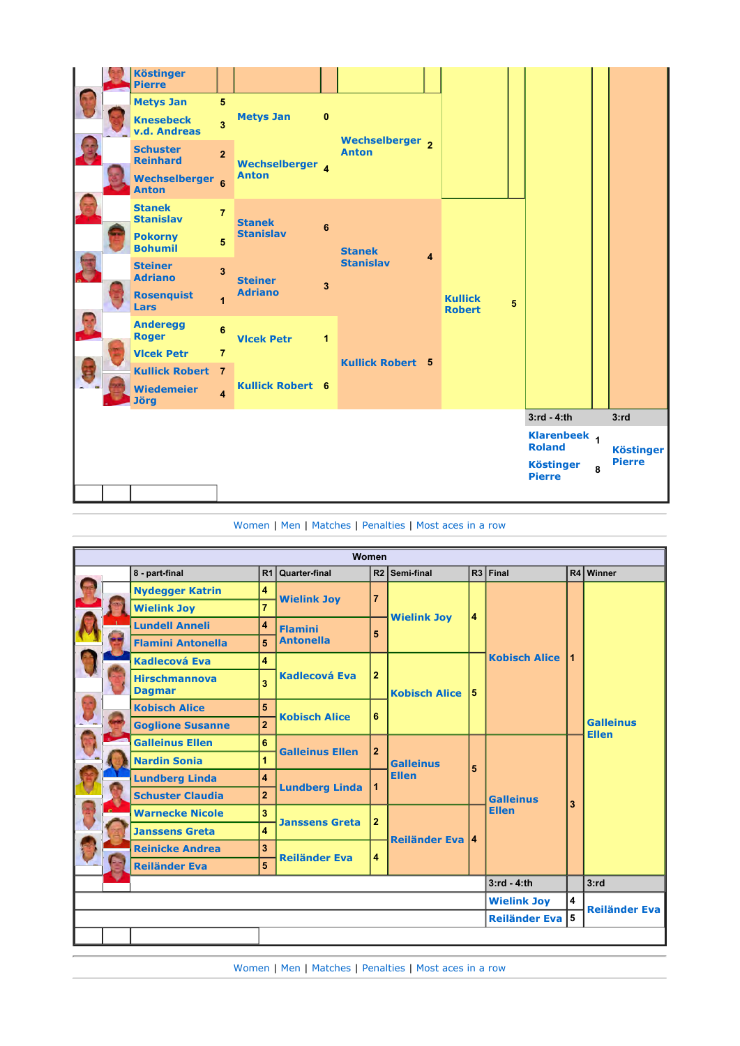|  |  | <b>Köstinger</b><br><b>Pierre</b>          |                |                                                   |                         |                                            |   |                                 |                 |                                          |                    |                  |
|--|--|--------------------------------------------|----------------|---------------------------------------------------|-------------------------|--------------------------------------------|---|---------------------------------|-----------------|------------------------------------------|--------------------|------------------|
|  |  | <b>Metys Jan</b>                           | 5 <sup>5</sup> | <b>Metys Jan</b><br>Wechselberger <sub>4</sub>    |                         |                                            |   |                                 |                 |                                          |                    |                  |
|  |  | <b>Knesebeck</b><br>v.d. Andreas           | $\overline{3}$ |                                                   | $\mathbf{0}$            | Wechselberger <sub>2</sub><br><b>Anton</b> |   |                                 |                 |                                          |                    |                  |
|  |  | <b>Schuster</b><br><b>Reinhard</b>         | $\overline{2}$ |                                                   |                         |                                            |   |                                 |                 |                                          |                    |                  |
|  |  | Wechselberger <sub>6</sub><br><b>Anton</b> |                | <b>Anton</b><br><b>Stanek</b><br><b>Stanislav</b> |                         | <b>Stanek</b><br><b>Stanislav</b>          | 4 |                                 |                 |                                          |                    |                  |
|  |  | <b>Stanek</b><br><b>Stanislav</b>          | $\overline{7}$ |                                                   |                         |                                            |   |                                 |                 |                                          |                    |                  |
|  |  | <b>Pokorny</b><br><b>Bohumil</b>           | 5              |                                                   | $6\phantom{1}$          |                                            |   |                                 |                 |                                          |                    |                  |
|  |  | <b>Steiner</b><br><b>Adriano</b>           | $\overline{3}$ | <b>Steiner</b>                                    | $\overline{\mathbf{3}}$ |                                            |   |                                 |                 |                                          |                    |                  |
|  |  | <b>Rosenquist</b><br>Lars                  | $\overline{1}$ | <b>Adriano</b>                                    |                         |                                            |   | <b>Kullick</b><br><b>Robert</b> | $5\overline{5}$ |                                          |                    |                  |
|  |  | <b>Anderegg</b><br><b>Roger</b>            | 6              | <b>Vicek Petr</b>                                 | $\blacktriangleleft$    | <b>Kullick Robert 5</b>                    |   |                                 |                 |                                          |                    |                  |
|  |  | <b>Vicek Petr</b>                          | $\overline{7}$ |                                                   |                         |                                            |   |                                 |                 |                                          |                    |                  |
|  |  | <b>Kullick Robert 7</b>                    |                |                                                   |                         |                                            |   |                                 |                 |                                          |                    |                  |
|  |  | <b>Wiedemeier</b><br><b>Jörg</b>           | $\overline{4}$ | <b>Kullick Robert 6</b>                           |                         |                                            |   |                                 |                 |                                          |                    |                  |
|  |  |                                            |                |                                                   |                         |                                            |   |                                 |                 | $3:rd - 4:th$                            |                    | 3:rd             |
|  |  |                                            |                |                                                   |                         |                                            |   |                                 |                 | Klarenbeek <sub>1</sub><br><b>Roland</b> |                    | <b>Köstinger</b> |
|  |  |                                            |                |                                                   |                         |                                            |   |                                 |                 | <b>Köstinger</b><br><b>Pierre</b>        | <b>Pierre</b><br>8 |                  |
|  |  |                                            |                |                                                   |                         |                                            |   |                                 |                 |                                          |                    |                  |

## Women | Men | Matches | Penalties | Most aces in a row

| Women         |  |                                       |                         |                                         |                               |                                  |   |                      |                         |                                  |  |  |
|---------------|--|---------------------------------------|-------------------------|-----------------------------------------|-------------------------------|----------------------------------|---|----------------------|-------------------------|----------------------------------|--|--|
|               |  | 8 - part-final                        | R <sub>1</sub>          | Quarter-final                           |                               | R <sub>2</sub> Semi-final        |   | $R3$ Final           |                         | R4 Winner                        |  |  |
|               |  | <b>Nydegger Katrin</b>                | $\overline{4}$          |                                         |                               |                                  |   |                      |                         |                                  |  |  |
|               |  | <b>Wielink Joy</b>                    | $\overline{7}$          | <b>Wielink Joy</b>                      | $\overline{7}$                |                                  | 4 |                      |                         |                                  |  |  |
|               |  | <b>Lundell Anneli</b>                 | $\overline{\mathbf{4}}$ | <b>Flamini</b><br>5<br><b>Antonella</b> | <b>Wielink Joy</b>            |                                  |   |                      |                         |                                  |  |  |
|               |  | <b>Flamini Antonella</b>              | 5                       |                                         |                               |                                  |   |                      |                         |                                  |  |  |
|               |  | <b>Kadlecová Eva</b>                  | 4                       | <b>Kadlecová Eva</b>                    |                               |                                  |   | <b>Kobisch Alice</b> |                         |                                  |  |  |
|               |  | <b>Hirschmannova</b><br><b>Dagmar</b> | 3                       |                                         |                               | <b>Kobisch Alice</b>             |   |                      |                         |                                  |  |  |
|               |  | <b>Kobisch Alice</b>                  | 5                       | <b>Kobisch Alice</b>                    | 6                             |                                  |   |                      |                         |                                  |  |  |
|               |  | <b>Goglione Susanne</b>               | $\overline{2}$          |                                         |                               |                                  |   |                      |                         | <b>Galleinus</b><br><b>Ellen</b> |  |  |
|               |  | <b>Galleinus Ellen</b>                | 6                       | <b>Galleinus Ellen</b>                  | $\overline{2}$<br>$\mathbf 1$ | <b>Galleinus</b><br><b>Ellen</b> | 5 | <b>Galleinus</b>     |                         |                                  |  |  |
|               |  | <b>Nardin Sonia</b>                   | $\overline{1}$          |                                         |                               |                                  |   |                      |                         |                                  |  |  |
|               |  | <b>Lundberg Linda</b>                 | $\overline{\mathbf{4}}$ | <b>Lundberg Linda</b>                   |                               |                                  |   |                      |                         |                                  |  |  |
|               |  | <b>Schuster Claudia</b>               | $\overline{2}$          |                                         |                               |                                  |   |                      | 3                       |                                  |  |  |
|               |  | <b>Warnecke Nicole</b>                | 3                       | 12<br><b>Janssens Greta</b>             |                               | Reiländer Eva   4                |   | <b>Ellen</b>         |                         |                                  |  |  |
|               |  | <b>Janssens Greta</b>                 | $\overline{4}$          |                                         |                               |                                  |   |                      |                         |                                  |  |  |
|               |  | <b>Reinicke Andrea</b>                | $\overline{3}$          | <b>Reiländer Eva</b>                    |                               |                                  |   |                      |                         |                                  |  |  |
|               |  | <b>Reiländer Eva</b>                  | $\overline{5}$          |                                         | $\overline{4}$                |                                  |   |                      |                         |                                  |  |  |
| $3:rd - 4:th$ |  |                                       |                         |                                         |                               |                                  |   |                      |                         | 3:rd                             |  |  |
|               |  |                                       |                         |                                         |                               |                                  |   | <b>Wielink Joy</b>   | $\overline{\mathbf{4}}$ | <b>Reiländer Eva</b>             |  |  |
|               |  |                                       |                         |                                         |                               |                                  |   | Reiländer Eva 5      |                         |                                  |  |  |
|               |  |                                       |                         |                                         |                               |                                  |   |                      |                         |                                  |  |  |